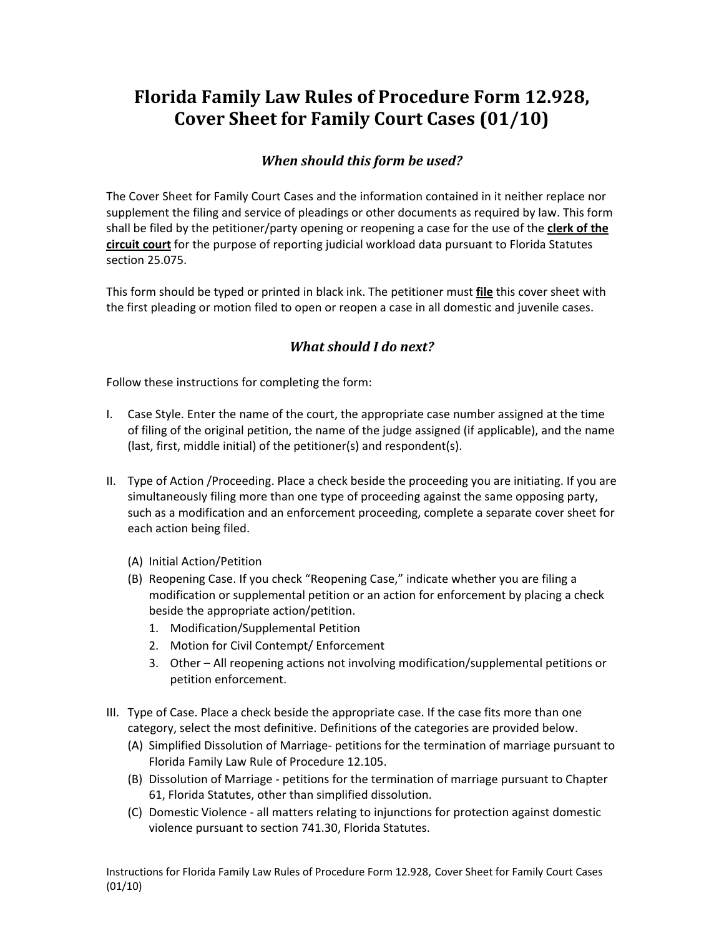## **Florida Family Law Rules of Procedure Form 12.928, Cover Sheet for Family Court Cases (01/10)**

## *When should this form be used?*

The Cover Sheet for Family Court Cases and the information contained in it neither replace nor supplement the filing and service of pleadings or other documents as required by law. This form shall be filed by the petitioner/party opening or reopening a case for the use of the **clerk of the circuit court** for the purpose of reporting judicial workload data pursuant to Florida Statutes section 25.075.

This form should be typed or printed in black ink. The petitioner must **file** this cover sheet with the first pleading or motion filed to open or reopen a case in all domestic and juvenile cases.

## *What should I do next?*

Follow these instructions for completing the form:

- I. Case Style. Enter the name of the court, the appropriate case number assigned at the time of filing of the original petition, the name of the judge assigned (if applicable), and the name (last, first, middle initial) of the petitioner(s) and respondent(s).
- II. Type of Action /Proceeding. Place a check beside the proceeding you are initiating. If you are simultaneously filing more than one type of proceeding against the same opposing party, such as a modification and an enforcement proceeding, complete a separate cover sheet for each action being filed.
	- (A) Initial Action/Petition
	- (B) Reopening Case. If you check "Reopening Case," indicate whether you are filing a modification or supplemental petition or an action for enforcement by placing a check beside the appropriate action/petition.
		- 1. Modification/Supplemental Petition
		- 2. Motion for Civil Contempt/ Enforcement
		- 3. Other All reopening actions not involving modification/supplemental petitions or petition enforcement.
- III. Type of Case. Place a check beside the appropriate case. If the case fits more than one category, select the most definitive. Definitions of the categories are provided below.
	- (A) Simplified Dissolution of Marriage‐ petitions for the termination of marriage pursuant to Florida Family Law Rule of Procedure 12.105.
	- (B) Dissolution of Marriage ‐ petitions for the termination of marriage pursuant to Chapter 61, Florida Statutes, other than simplified dissolution.
	- (C) Domestic Violence ‐ all matters relating to injunctions for protection against domestic violence pursuant to section 741.30, Florida Statutes.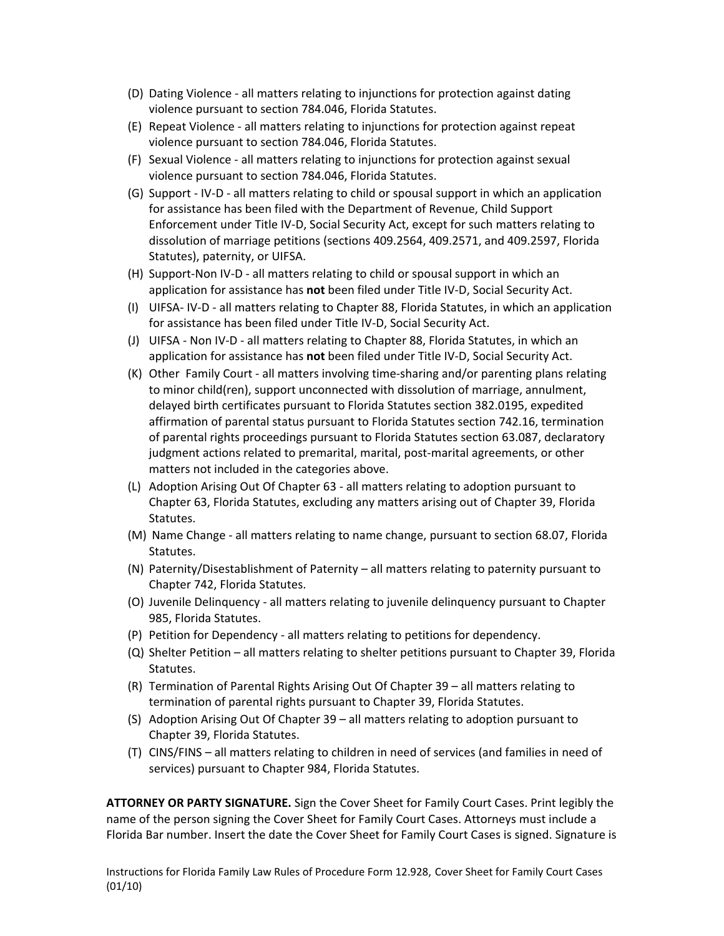- (D) Dating Violence ‐ all matters relating to injunctions for protection against dating violence pursuant to section 784.046, Florida Statutes.
- (E) Repeat Violence ‐ all matters relating to injunctions for protection against repeat violence pursuant to section 784.046, Florida Statutes.
- (F) Sexual Violence ‐ all matters relating to injunctions for protection against sexual violence pursuant to section 784.046, Florida Statutes.
- (G) Support ‐ IV‐D ‐ all matters relating to child or spousal support in which an application for assistance has been filed with the Department of Revenue, Child Support Enforcement under Title IV‐D, Social Security Act, except for such matters relating to dissolution of marriage petitions (sections 409.2564, 409.2571, and 409.2597, Florida Statutes), paternity, or UIFSA.
- (H) Support‐Non IV‐D ‐ all matters relating to child or spousal support in which an application for assistance has **not** been filed under Title IV‐D, Social Security Act.
- (I) UIFSA‐ IV‐D ‐ all matters relating to Chapter 88, Florida Statutes, in which an application for assistance has been filed under Title IV‐D, Social Security Act.
- (J) UIFSA ‐ Non IV‐D ‐ all matters relating to Chapter 88, Florida Statutes, in which an application for assistance has **not** been filed under Title IV‐D, Social Security Act.
- (K) Other Family Court ‐ all matters involving time‐sharing and/or parenting plans relating to minor child(ren), support unconnected with dissolution of marriage, annulment, delayed birth certificates pursuant to Florida Statutes section 382.0195, expedited affirmation of parental status pursuant to Florida Statutes section 742.16, termination of parental rights proceedings pursuant to Florida Statutes section 63.087, declaratory judgment actions related to premarital, marital, post-marital agreements, or other matters not included in the categories above.
- (L) Adoption Arising Out Of Chapter 63 ‐ all matters relating to adoption pursuant to Chapter 63, Florida Statutes, excluding any matters arising out of Chapter 39, Florida Statutes.
- (M) Name Change ‐ all matters relating to name change, pursuant to section 68.07, Florida Statutes.
- (N) Paternity/Disestablishment of Paternity all matters relating to paternity pursuant to Chapter 742, Florida Statutes.
- (O) Juvenile Delinquency ‐ all matters relating to juvenile delinquency pursuant to Chapter 985, Florida Statutes.
- (P) Petition for Dependency ‐ all matters relating to petitions for dependency.
- (Q) Shelter Petition all matters relating to shelter petitions pursuant to Chapter 39, Florida Statutes.
- (R) Termination of Parental Rights Arising Out Of Chapter 39 all matters relating to termination of parental rights pursuant to Chapter 39, Florida Statutes.
- (S) Adoption Arising Out Of Chapter 39 all matters relating to adoption pursuant to Chapter 39, Florida Statutes.
- (T) CINS/FINS all matters relating to children in need of services (and families in need of services) pursuant to Chapter 984, Florida Statutes.

**ATTORNEY OR PARTY SIGNATURE.** Sign the Cover Sheet for Family Court Cases. Print legibly the name of the person signing the Cover Sheet for Family Court Cases. Attorneys must include a Florida Bar number. Insert the date the Cover Sheet for Family Court Cases is signed. Signature is